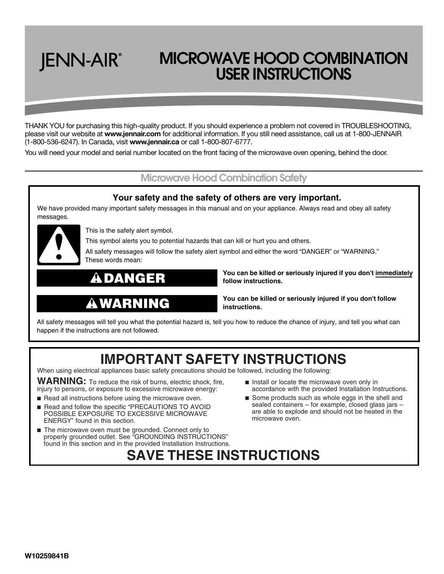# **JENN-AIR**®

## **MICROWAVE HOOD COMBINATION USER INSTRUCTIONS**

THANK YOU for purchasing this high-quality product. If you should experience a problem not covered in TROUBLESHOOTING, please visit our website at **www.jennair.com** for additional information. If you still need assistance, call us at 1-800-JENNAIR (1-800-536-6247). In Canada, visit **www.jennair.ca** or call 1-800-807-6777.

You will need your model and serial number located on the front facing of the microwave oven opening, behind the door.

### **Microwave Hood Combination Safety**

### **Your safety and the safety of others are very important.**

We have provided many important safety messages in this manual and on your appliance. Always read and obey all safety messages.



This is the safety alert symbol.

This symbol alerts you to potential hazards that can kill or hurt you and others.

All safety messages will follow the safety alert symbol and either the word "DANGER" or "WARNING." These words mean:

### **DANGER**

## **WARNING**

**follow instructions.**

**You can be killed or seriously injured if you don't immediately** 

**You can be killed or seriously injured if you don't follow instructions.**

All safety messages will tell you what the potential hazard is, tell you how to reduce the chance of injury, and tell you what can happen if the instructions are not followed.

### **IMPORTANT SAFETY INSTRUCTIONS**

**SAVE THESE INSTRUCTIONS**

When using electrical appliances basic safety precautions should be followed, including the following:

**WARNING:** To reduce the risk of burns, electric shock, fire, injury to persons, or exposure to excessive microwave energy:

- Read all instructions before using the microwave oven.
- Read and follow the specific "PRECAUTIONS TO AVOID POSSIBLE EXPOSURE TO EXCESSIVE MICROWAVE ENERGY" found in this section.
- The microwave oven must be grounded. Connect only to properly grounded outlet. See "GROUNDING INSTRUCTIONS" found in this section and in the provided Installation Instructions.
- Install or locate the microwave oven only in accordance with the provided Installation Instructions.
- Some products such as whole eggs in the shell and sealed containers – for example, closed glass jars – are able to explode and should not be heated in the microwave oven.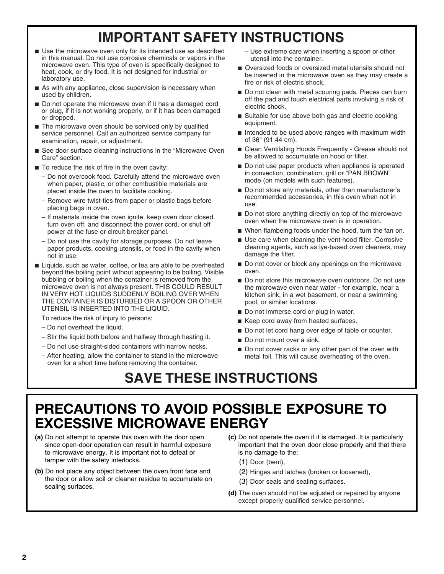## **IMPORTANT SAFETY INSTRUCTIONS**

- Use the microwave oven only for its intended use as described in this manual. Do not use corrosive chemicals or vapors in the microwave oven. This type of oven is specifically designed to heat, cook, or dry food. It is not designed for industrial or laboratory use.
- As with any appliance, close supervision is necessary when used by children.
- Do not operate the microwave oven if it has a damaged cord or plug, if it is not working properly, or if it has been damaged or dropped.
- The microwave oven should be serviced only by qualified service personnel. Call an authorized service company for examination, repair, or adjustment.
- See door surface cleaning instructions in the "Microwave Oven Care" section.
- To reduce the risk of fire in the oven cavity:
	- Do not overcook food. Carefully attend the microwave oven when paper, plastic, or other combustible materials are placed inside the oven to facilitate cooking.
	- Remove wire twist-ties from paper or plastic bags before placing bags in oven.
	- If materials inside the oven ignite, keep oven door closed, turn oven off, and disconnect the power cord, or shut off power at the fuse or circuit breaker panel.
	- Do not use the cavity for storage purposes. Do not leave paper products, cooking utensils, or food in the cavity when not in use.
- Liquids, such as water, coffee, or tea are able to be overheated beyond the boiling point without appearing to be boiling. Visible bubbling or boiling when the container is removed from the microwave oven is not always present. THIS COULD RESULT IN VERY HOT LIQUIDS SUDDENLY BOILING OVER WHEN THE CONTAINER IS DISTURBED OR A SPOON OR OTHER UTENSIL IS INSERTED INTO THE LIQUID.

To reduce the risk of injury to persons:

- Do not overheat the liquid.
- Stir the liquid both before and halfway through heating it.
- Do not use straight-sided containers with narrow necks.
- After heating, allow the container to stand in the microwave oven for a short time before removing the container.
- Use extreme care when inserting a spoon or other utensil into the container.
- Oversized foods or oversized metal utensils should not be inserted in the microwave oven as they may create a fire or risk of electric shock.
- Do not clean with metal scouring pads. Pieces can burn off the pad and touch electrical parts involving a risk of electric shock.
- Suitable for use above both gas and electric cooking equipment.
- Intended to be used above ranges with maximum width of 36" (91.44 cm).
- Clean Ventilating Hoods Frequently Grease should not be allowed to accumulate on hood or filter.
- Do not use paper products when appliance is operated in convection, combination, grill or "PAN BROWN" mode (on models with such features).
- Do not store any materials, other than manufacturer's recommended accessories, in this oven when not in use.
- Do not store anything directly on top of the microwave oven when the microwave oven is in operation.
- When flambeing foods under the hood, turn the fan on.
- Use care when cleaning the vent-hood filter. Corrosive cleaning agents, such as lye-based oven cleaners, may damage the filter.
- Do not cover or block any openings on the microwave oven.
- Do not store this microwave oven outdoors. Do not use the microwave oven near water - for example, near a kitchen sink, in a wet basement, or near a swimming pool, or similar locations.
- Do not immerse cord or plug in water.
- Keep cord away from heated surfaces.
- Do not let cord hang over edge of table or counter.
- Do not mount over a sink.
- Do not cover racks or any other part of the oven with metal foil. This will cause overheating of the oven.

## **SAVE THESE INSTRUCTIONS**

### **PRECAUTIONS TO AVOID POSSIBLE EXPOSURE TO EXCESSIVE MICROWAVE ENERGY**

- **(a)** Do not attempt to operate this oven with the door open since open-door operation can result in harmful exposure to microwave energy. It is important not to defeat or tamper with the safety interlocks.
- **(b)** Do not place any object between the oven front face and the door or allow soil or cleaner residue to accumulate on sealing surfaces.
- **(c)** Do not operate the oven if it is damaged. It is particularly important that the oven door close properly and that there is no damage to the:
	- (1) Door (bent),
	- (2) Hinges and latches (broken or loosened),
	- (3) Door seals and sealing surfaces.
- **(d)** The oven should not be adjusted or repaired by anyone except properly qualified service personnel.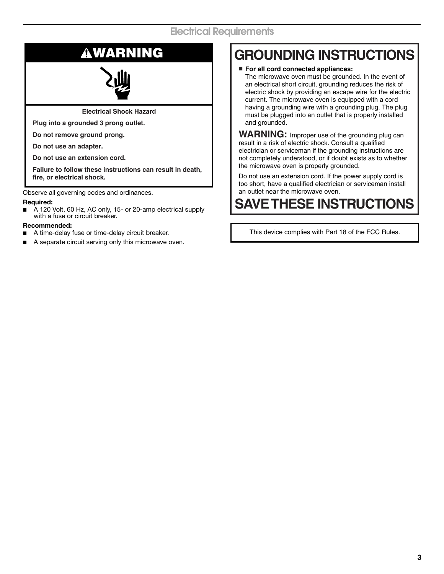**Electrical Shock Hazard**

**Plug into a grounded 3 prong outlet.**

**Do not remove ground prong.**

**Do not use an adapter.**

**Do not use an extension cord.**

**Failure to follow these instructions can result in death, fire, or electrical shock.**

Observe all governing codes and ordinances.

### **Required:**

■ A 120 Volt, 60 Hz, AC only, 15- or 20-amp electrical supply with a fuse or circuit breaker.

### **Recommended:**

- A time-delay fuse or time-delay circuit breaker.
- A separate circuit serving only this microwave oven.

## **WARNING GROUNDING INSTRUCTIONS**

■ **For all cord connected appliances:**

The microwave oven must be grounded. In the event of an electrical short circuit, grounding reduces the risk of electric shock by providing an escape wire for the electric current. The microwave oven is equipped with a cord having a grounding wire with a grounding plug. The plug must be plugged into an outlet that is properly installed and grounded.

**WARNING:** Improper use of the grounding plug can result in a risk of electric shock. Consult a qualified electrician or serviceman if the grounding instructions are not completely understood, or if doubt exists as to whether the microwave oven is properly grounded.

Do not use an extension cord. If the power supply cord is too short, have a qualified electrician or serviceman install an outlet near the microwave oven.

## **SAVE THESE INSTRUCTIONS**

This device complies with Part 18 of the FCC Rules.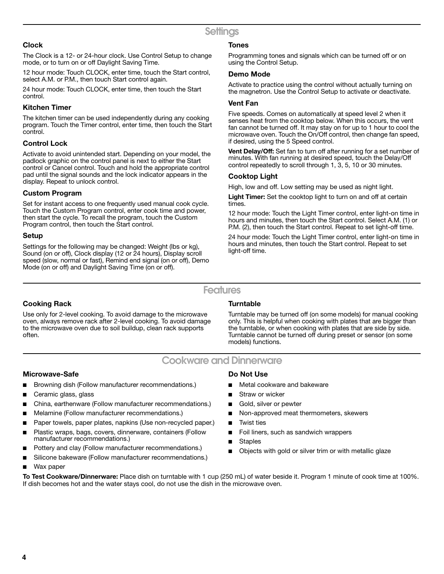### **Clock**

The Clock is a 12- or 24-hour clock. Use Control Setup to change mode, or to turn on or off Daylight Saving Time.

12 hour mode: Touch CLOCK, enter time, touch the Start control, select A.M. or P.M., then touch Start control again.

24 hour mode: Touch CLOCK, enter time, then touch the Start control.

### **Kitchen Timer**

The kitchen timer can be used independently during any cooking program. Touch the Timer control, enter time, then touch the Start control.

### **Control Lock**

Activate to avoid unintended start. Depending on your model, the padlock graphic on the control panel is next to either the Start control or Cancel control. Touch and hold the appropriate control pad until the signal sounds and the lock indicator appears in the display. Repeat to unlock control.

### **Custom Program**

Set for instant access to one frequently used manual cook cycle. Touch the Custom Program control, enter cook time and power, then start the cycle. To recall the program, touch the Custom Program control, then touch the Start control.

### **Setup**

Settings for the following may be changed: Weight (lbs or kg), Sound (on or off), Clock display (12 or 24 hours), Display scroll speed (slow, normal or fast), Remind end signal (on or off), Demo Mode (on or off) and Daylight Saving Time (on or off).

### **Tones**

Programming tones and signals which can be turned off or on using the Control Setup.

### **Demo Mode**

Activate to practice using the control without actually turning on the magnetron. Use the Control Setup to activate or deactivate.

### **Vent Fan**

Five speeds. Comes on automatically at speed level 2 when it senses heat from the cooktop below. When this occurs, the vent fan cannot be turned off. It may stay on for up to 1 hour to cool the microwave oven. Touch the On/Off control, then change fan speed, if desired, using the 5 Speed control.

**Vent Delay/Off:** Set fan to turn off after running for a set number of minutes. With fan running at desired speed, touch the Delay/Off control repeatedly to scroll through 1, 3, 5, 10 or 30 minutes.

### **Cooktop Light**

High, low and off. Low setting may be used as night light.

**Light Timer:** Set the cooktop light to turn on and off at certain times.

12 hour mode: Touch the Light Timer control, enter light-on time in hours and minutes, then touch the Start control. Select A.M. (1) or P.M. (2), then touch the Start control. Repeat to set light-off time.

24 hour mode: Touch the Light Timer control, enter light-on time in hours and minutes, then touch the Start control. Repeat to set light-off time.

### **Features**

### **Cooking Rack**

Use only for 2-level cooking. To avoid damage to the microwave oven, always remove rack after 2-level cooking. To avoid damage to the microwave oven due to soil buildup, clean rack supports often.

### **Turntable**

Turntable may be turned off (on some models) for manual cooking only. This is helpful when cooking with plates that are bigger than the turntable, or when cooking with plates that are side by side. Turntable cannot be turned off during preset or sensor (on some models) functions.

### **Cookware and Dinnerware**

### **Microwave-Safe**

- Browning dish (Follow manufacturer recommendations.)
- Ceramic glass, glass
- China, earthenware (Follow manufacturer recommendations.)
- Melamine (Follow manufacturer recommendations.)
- Paper towels, paper plates, napkins (Use non-recycled paper.)
- Plastic wraps, bags, covers, dinnerware, containers (Follow manufacturer recommendations.)
- Pottery and clay (Follow manufacturer recommendations.)
- Silicone bakeware (Follow manufacturer recommendations.)
- Wax paper

### **Do Not Use**

- Metal cookware and bakeware
- Straw or wicker
- Gold, silver or pewter
- Non-approved meat thermometers, skewers
- **Twist ties**
- Foil liners, such as sandwich wrappers
- **Staples**
- Objects with gold or silver trim or with metallic glaze

**To Test Cookware/Dinnerware:** Place dish on turntable with 1 cup (250 mL) of water beside it. Program 1 minute of cook time at 100%. If dish becomes hot and the water stays cool, do not use the dish in the microwave oven.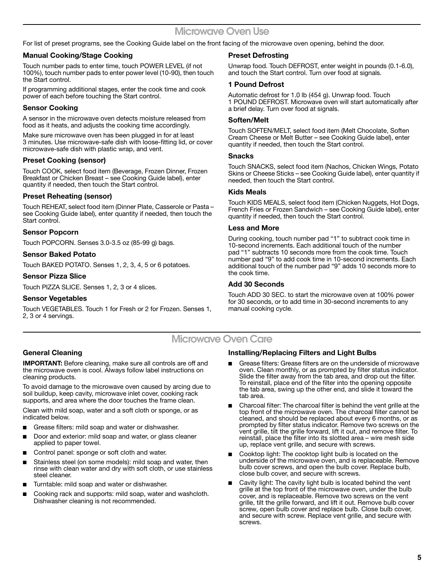### **Microwave Oven Use**

For list of preset programs, see the Cooking Guide label on the front facing of the microwave oven opening, behind the door.

### **Manual Cooking/Stage Cooking**

Touch number pads to enter time, touch POWER LEVEL (if not 100%), touch number pads to enter power level (10-90), then touch the Start control.

If programming additional stages, enter the cook time and cook power of each before touching the Start control.

### **Sensor Cooking**

A sensor in the microwave oven detects moisture released from food as it heats, and adjusts the cooking time accordingly.

Make sure microwave oven has been plugged in for at least 3 minutes. Use microwave-safe dish with loose-fitting lid, or cover microwave-safe dish with plastic wrap, and vent.

### **Preset Cooking (sensor)**

Touch COOK, select food item (Beverage, Frozen Dinner, Frozen Breakfast or Chicken Breast – see Cooking Guide label), enter quantity if needed, then touch the Start control.

### **Preset Reheating (sensor)**

Touch REHEAT, select food item (Dinner Plate, Casserole or Pasta – see Cooking Guide label), enter quantity if needed, then touch the Start control.

### **Sensor Popcorn**

Touch POPCORN. Senses 3.0-3.5 oz (85-99 g) bags.

### **Sensor Baked Potato**

Touch BAKED POTATO. Senses 1, 2, 3, 4, 5 or 6 potatoes.

### **Sensor Pizza Slice**

Touch PIZZA SLICE. Senses 1, 2, 3 or 4 slices.

### **Sensor Vegetables**

Touch VEGETABLES. Touch 1 for Fresh or 2 for Frozen. Senses 1, 2, 3 or 4 servings.

### **Preset Defrosting**

Unwrap food. Touch DEFROST, enter weight in pounds (0.1-6.0), and touch the Start control. Turn over food at signals.

### **1 Pound Defrost**

Automatic defrost for 1.0 lb (454 g). Unwrap food. Touch 1 POUND DEFROST. Microwave oven will start automatically after a brief delay. Turn over food at signals.

### **Soften/Melt**

Touch SOFTEN/MELT, select food item (Melt Chocolate, Soften Cream Cheese or Melt Butter – see Cooking Guide label), enter quantity if needed, then touch the Start control.

#### **Snacks**

Touch SNACKS, select food item (Nachos, Chicken Wings, Potato Skins or Cheese Sticks – see Cooking Guide label), enter quantity if needed, then touch the Start control.

### **Kids Meals**

Touch KIDS MEALS, select food item (Chicken Nuggets, Hot Dogs, French Fries or Frozen Sandwich – see Cooking Guide label), enter quantity if needed, then touch the Start control.

### **Less and More**

During cooking, touch number pad "1" to subtract cook time in 10-second increments. Each additional touch of the number pad "1" subtracts 10 seconds more from the cook time. Touch number pad "9" to add cook time in 10-second increments. Each additional touch of the number pad "9" adds 10 seconds more to the cook time.

### **Add 30 Seconds**

Touch ADD 30 SEC. to start the microwave oven at 100% power for 30 seconds, or to add time in 30-second increments to any manual cooking cycle.

### **Microwave Oven Care**

### **General Cleaning**

**IMPORTANT:** Before cleaning, make sure all controls are off and the microwave oven is cool. Always follow label instructions on cleaning products.

To avoid damage to the microwave oven caused by arcing due to soil buildup, keep cavity, microwave inlet cover, cooking rack supports, and area where the door touches the frame clean.

Clean with mild soap, water and a soft cloth or sponge, or as indicated below.

- Grease filters: mild soap and water or dishwasher.
- Door and exterior: mild soap and water, or glass cleaner applied to paper towel.
- Control panel: sponge or soft cloth and water.
- Stainless steel (on some models): mild soap and water, then rinse with clean water and dry with soft cloth, or use stainless steel cleaner.
- Turntable: mild soap and water or dishwasher.
- Cooking rack and supports: mild soap, water and washcloth. Dishwasher cleaning is not recommended.

### **Installing/Replacing Filters and Light Bulbs**

- Grease filters: Grease filters are on the underside of microwave oven. Clean monthly, or as prompted by filter status indicator. Slide the filter away from the tab area, and drop out the filter. To reinstall, place end of the filter into the opening opposite the tab area, swing up the other end, and slide it toward the tab area.
- Charcoal filter: The charcoal filter is behind the vent grille at the top front of the microwave oven. The charcoal filter cannot be cleaned, and should be replaced about every 6 months, or as prompted by filter status indicator. Remove two screws on the vent grille, tilt the grille forward, lift it out, and remove filter. To reinstall, place the filter into its slotted area – wire mesh side up, replace vent grille, and secure with screws.
- Cooktop light: The cooktop light bulb is located on the underside of the microwave oven, and is replaceable. Remove bulb cover screws, and open the bulb cover. Replace bulb, close bulb cover, and secure with screws.
- Cavity light: The cavity light bulb is located behind the vent grille at the top front of the microwave oven, under the bulb cover, and is replaceable. Remove two screws on the vent grille, tilt the grille forward, and lift it out. Remove bulb cover screw, open bulb cover and replace bulb. Close bulb cover, and secure with screw. Replace vent grille, and secure with screws.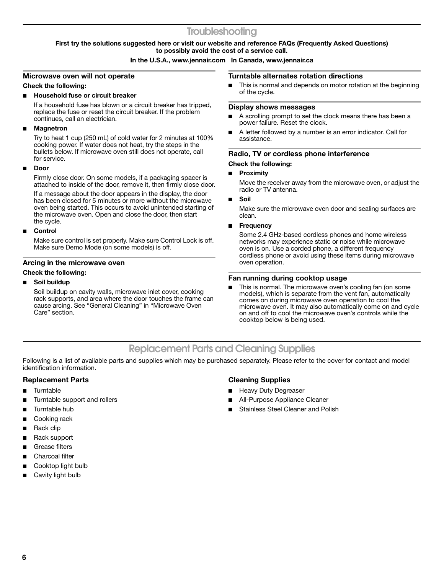### **Troubleshooting**

### **First try the solutions suggested here or visit our website and reference FAQs (Frequently Asked Questions) to possibly avoid the cost of a service call.**

### **In the U.S.A., www.jennair.com In Canada, www.jennair.ca**

### **Microwave oven will not operate**

### **Check the following:**

### **Household fuse or circuit breaker**

If a household fuse has blown or a circuit breaker has tripped, replace the fuse or reset the circuit breaker. If the problem continues, call an electrician.

### ■ **Magnetron**

Try to heat 1 cup (250 mL) of cold water for 2 minutes at 100% cooking power. If water does not heat, try the steps in the bullets below. If microwave oven still does not operate, call for service.

### ■ **Door**

Firmly close door. On some models, if a packaging spacer is attached to inside of the door, remove it, then firmly close door.

If a message about the door appears in the display, the door has been closed for 5 minutes or more without the microwave oven being started. This occurs to avoid unintended starting of the microwave oven. Open and close the door, then start the cycle.

### ■ **Control**

Make sure control is set properly. Make sure Control Lock is off. Make sure Demo Mode (on some models) is off.

### **Arcing in the microwave oven**

### **Check the following:**

### ■ **Soil buildup**

Soil buildup on cavity walls, microwave inlet cover, cooking rack supports, and area where the door touches the frame can cause arcing. See "General Cleaning" in "Microwave Oven Care" section.

### **Turntable alternates rotation directions**

■ This is normal and depends on motor rotation at the beginning of the cycle.

### **Display shows messages**

- A scrolling prompt to set the clock means there has been a power failure. Reset the clock.
- A letter followed by a number is an error indicator. Call for assistance.

### **Radio, TV or cordless phone interference**

### **Check the following:**

### ■ **Proximity**

Move the receiver away from the microwave oven, or adjust the radio or TV antenna.

■ **Soil**

Make sure the microwave oven door and sealing surfaces are clean.

### **Frequency**

Some 2.4 GHz-based cordless phones and home wireless networks may experience static or noise while microwave oven is on. Use a corded phone, a different frequency cordless phone or avoid using these items during microwave oven operation.

### **Fan running during cooktop usage**

This is normal. The microwave oven's cooling fan (on some models), which is separate from the vent fan, automatically comes on during microwave oven operation to cool the microwave oven. It may also automatically come on and cycle on and off to cool the microwave oven's controls while the cooktop below is being used.

### **Replacement Parts and Cleaning Supplies**

Following is a list of available parts and supplies which may be purchased separately. Please refer to the cover for contact and model identification information.

### **Replacement Parts**

- **Turntable**
- Turntable support and rollers
- Turntable hub
- Cooking rack
- Rack clip
- Rack support
- Grease filters
- Charcoal filter
- Cooktop light bulb
- Cavity light bulb

### **Cleaning Supplies**

- **Heavy Duty Degreaser**
- All-Purpose Appliance Cleaner
- Stainless Steel Cleaner and Polish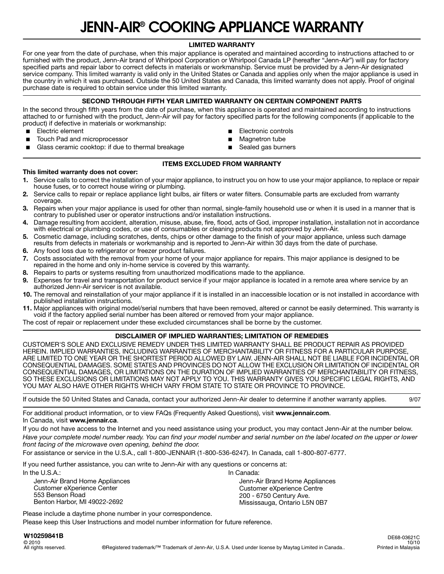## **JENN-AIR® COOKING APPLIANCE WARRANTY**

### **LIMITED WARRANTY**

For one year from the date of purchase, when this major appliance is operated and maintained according to instructions attached to or furnished with the product, Jenn-Air brand of Whirlpool Corporation or Whirlpool Canada LP (hereafter "Jenn-Air") will pay for factory specified parts and repair labor to correct defects in materials or workmanship. Service must be provided by a Jenn-Air designated service company. This limited warranty is valid only in the United States or Canada and applies only when the major appliance is used in the country in which it was purchased. Outside the 50 United States and Canada, this limited warranty does not apply. Proof of original purchase date is required to obtain service under this limited warranty.

### **SECOND THROUGH FIFTH YEAR LIMITED WARRANTY ON CERTAIN COMPONENT PARTS**

In the second through fifth years from the date of purchase, when this appliance is operated and maintained according to instructions attached to or furnished with the product, Jenn-Air will pay for factory specified parts for the following components (if applicable to the product) if defective in materials or workmanship:

- Electric element
- Touch Pad and microprocessor
- Glass ceramic cooktop: if due to thermal breakage
- **Electronic controls**
- Magnetron tube
- Sealed gas burners

### **ITEMS EXCLUDED FROM WARRANTY**

#### **This limited warranty does not cover:**

- **1.** Service calls to correct the installation of your major appliance, to instruct you on how to use your major appliance, to replace or repair house fuses, or to correct house wiring or plumbing.
- **2.** Service calls to repair or replace appliance light bulbs, air filters or water filters. Consumable parts are excluded from warranty coverage.
- **3.** Repairs when your major appliance is used for other than normal, single-family household use or when it is used in a manner that is contrary to published user or operator instructions and/or installation instructions.
- **4.** Damage resulting from accident, alteration, misuse, abuse, fire, flood, acts of God, improper installation, installation not in accordance with electrical or plumbing codes, or use of consumables or cleaning products not approved by Jenn-Air.
- **5.** Cosmetic damage, including scratches, dents, chips or other damage to the finish of your major appliance, unless such damage results from defects in materials or workmanship and is reported to Jenn-Air within 30 days from the date of purchase.
- **6.** Any food loss due to refrigerator or freezer product failures.
- **7.** Costs associated with the removal from your home of your major appliance for repairs. This major appliance is designed to be repaired in the home and only in-home service is covered by this warranty.
- **8.** Repairs to parts or systems resulting from unauthorized modifications made to the appliance.
- **9.** Expenses for travel and transportation for product service if your major appliance is located in a remote area where service by an authorized Jenn-Air servicer is not available.
- **10.** The removal and reinstallation of your major appliance if it is installed in an inaccessible location or is not installed in accordance with published installation instructions.
- **11.** Major appliances with original model/serial numbers that have been removed, altered or cannot be easily determined. This warranty is void if the factory applied serial number has been altered or removed from your major appliance.
- The cost of repair or replacement under these excluded circumstances shall be borne by the customer.

### **DISCLAIMER OF IMPLIED WARRANTIES; LIMITATION OF REMEDIES**

CUSTOMER'S SOLE AND EXCLUSIVE REMEDY UNDER THIS LIMITED WARRANTY SHALL BE PRODUCT REPAIR AS PROVIDED HEREIN. IMPLIED WARRANTIES, INCLUDING WARRANTIES OF MERCHANTABILITY OR FITNESS FOR A PARTICULAR PURPOSE, ARE LIMITED TO ONE YEAR OR THE SHORTEST PERIOD ALLOWED BY LAW. JENN-AIR SHALL NOT BE LIABLE FOR INCIDENTAL OR CONSEQUENTIAL DAMAGES. SOME STATES AND PROVINCES DO NOT ALLOW THE EXCLUSION OR LIMITATION OF INCIDENTAL OR CONSEQUENTIAL DAMAGES, OR LIMITATIONS ON THE DURATION OF IMPLIED WARRANTIES OF MERCHANTABILITY OR FITNESS, SO THESE EXCLUSIONS OR LIMITATIONS MAY NOT APPLY TO YOU. THIS WARRANTY GIVES YOU SPECIFIC LEGAL RIGHTS, AND YOU MAY ALSO HAVE OTHER RIGHTS WHICH VARY FROM STATE TO STATE OR PROVINCE TO PROVINCE.

If outside the 50 United States and Canada, contact your authorized Jenn-Air dealer to determine if another warranty applies. 9/07

For additional product information, or to view FAQs (Frequently Asked Questions), visit **www.jennair.com**. In Canada, visit **www.jennair.ca**.

If you do not have access to the Internet and you need assistance using your product, you may contact Jenn-Air at the number below. *Have your complete model number ready. You can find your model number and serial number on the label located on the upper or lower front facing of the microwave oven opening, behind the door.*

For assistance or service in the U.S.A., call 1-800-JENNAIR (1-800-536-6247). In Canada, call 1-800-807-6777.

If you need further assistance, you can write to Jenn-Air with any questions or concerns at: In the U.S.A.: In Canada:

Jenn-Air Brand Home Appliances Customer eXperience Center 553 Benson Road Benton Harbor, MI 49022-2692

Jenn-Air Brand Home Appliances Customer eXperience Centre 200 - 6750 Century Ave. Mississauga, Ontario L5N 0B7

Please include a daytime phone number in your correspondence.

Please keep this User Instructions and model number information for future reference.

### **W10259841B**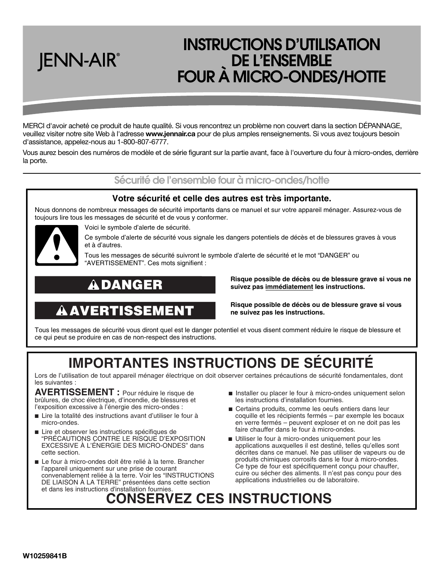### **INSTRUCTIONS D'UTILISATION DE L'ENSEMBLE FOUR À MICRO-ONDES/HOTTE**

MERCI d'avoir acheté ce produit de haute qualité. Si vous rencontrez un problème non couvert dans la section DÉPANNAGE, veuillez visiter notre site Web à l'adresse **www.jennair.ca** pour de plus amples renseignements. Si vous avez toujours besoin d'assistance, appelez-nous au 1-800-807-6777.

Vous aurez besoin des numéros de modèle et de série figurant sur la partie avant, face à l'ouverture du four à micro-ondes, derrière la porte.

### **Sécurité de l'ensemble four à micro-ondes/hotte**

### **Votre sécurité et celle des autres est très importante.**

Nous donnons de nombreux messages de sécurité importants dans ce manuel et sur votre appareil ménager. Assurez-vous de toujours lire tous les messages de sécurité et de vous y conformer.



JENN-AIR®

Voici le symbole d'alerte de sécurité.

Ce symbole d'alerte de sécurité vous signale les dangers potentiels de décès et de blessures graves à vous et à d'autres.

Tous les messages de sécurité suivront le symbole d'alerte de sécurité et le mot "DANGER" ou "AVERTISSEMENT". Ces mots signifient :

## **DANGER**

## **AVERTISSEMENT**

**Risque possible de décès ou de blessure grave si vous ne suivez pas immédiatement les instructions.** 

**Risque possible de décès ou de blessure grave si vous ne suivez pas les instructions.** 

Tous les messages de sécurité vous diront quel est le danger potentiel et vous disent comment réduire le risque de blessure et ce qui peut se produire en cas de non-respect des instructions.

## **IMPORTANTES INSTRUCTIONS DE SÉCURITÉ**

Lors de l'utilisation de tout appareil ménager électrique on doit observer certaines précautions de sécurité fondamentales, dont les suivantes :

**AVERTISSEMENT :** Pour réduire le risque de brûlures, de choc électrique, d'incendie, de blessures et l'exposition excessive à l'énergie des micro-ondes :

- Lire la totalité des instructions avant d'utiliser le four à micro-ondes.
- Lire et observer les instructions spécifiques de "PRÉCAUTIONS CONTRE LE RISQUE D'EXPOSITION EXCESSIVE À L'ÉNERGIE DES MICRO-ONDES" dans cette section.
- Le four à micro-ondes doit être relié à la terre. Brancher l'appareil uniquement sur une prise de courant convenablement reliée à la terre. Voir les "INSTRUCTIONS DE LIAISON À LA TERRE" présentées dans cette section et dans les instructions d'installation fournies.
- Installer ou placer le four à micro-ondes uniquement selon les instructions d'installation fournies.
- Certains produits, comme les oeufs entiers dans leur coquille et les récipients fermés – par exemple les bocaux en verre fermés – peuvent exploser et on ne doit pas les faire chauffer dans le four à micro-ondes.
- Utiliser le four à micro-ondes uniquement pour les applications auxquelles il est destiné, telles qu'elles sont décrites dans ce manuel. Ne pas utiliser de vapeurs ou de produits chimiques corrosifs dans le four à micro-ondes. Ce type de four est spécifiquement conçu pour chauffer, cuire ou sécher des aliments. Il n'est pas conçu pour des applications industrielles ou de laboratoire.

## **CONSERVEZ CES INSTRUCTIONS**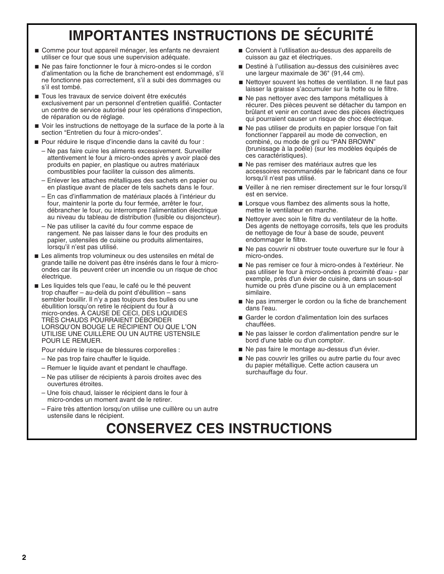## **IMPORTANTES INSTRUCTIONS DE SÉCURITÉ**

- Comme pour tout appareil ménager, les enfants ne devraient utiliser ce four que sous une supervision adéquate.
- Ne pas faire fonctionner le four à micro-ondes si le cordon d'alimentation ou la fiche de branchement est endommagé, s'il ne fonctionne pas correctement, s'il a subi des dommages ou s'il est tombé.
- Tous les travaux de service doivent être exécutés exclusivement par un personnel d'entretien qualifié. Contacter un centre de service autorisé pour les opérations d'inspection, de réparation ou de réglage.
- Voir les instructions de nettoyage de la surface de la porte à la section "Entretien du four à micro-ondes".
- Pour réduire le risque d'incendie dans la cavité du four :
	- Ne pas faire cuire les aliments excessivement. Surveiller attentivement le four à micro-ondes après y avoir placé des produits en papier, en plastique ou autres matériaux combustibles pour faciliter la cuisson des aliments.
	- Enlever les attaches métalliques des sachets en papier ou en plastique avant de placer de tels sachets dans le four.
	- En cas d'inflammation de matériaux placés à l'intérieur du four, maintenir la porte du four fermée, arrêter le four, débrancher le four, ou interrompre l'alimentation électrique au niveau du tableau de distribution (fusible ou disjoncteur).
	- Ne pas utiliser la cavité du four comme espace de rangement. Ne pas laisser dans le four des produits en papier, ustensiles de cuisine ou produits alimentaires, lorsqu'il n'est pas utilisé.
- Les aliments trop volumineux ou des ustensiles en métal de grande taille ne doivent pas être insérés dans le four à microondes car ils peuvent créer un incendie ou un risque de choc électrique.
- Les liquides tels que l'eau, le café ou le thé peuvent trop chauffer – au-delà du point d'ébullition – sans sembler bouillir. Il n'y a pas toujours des bulles ou une ébullition lorsqu'on retire le récipient du four à micro-ondes. À CAUSE DE CECI, DES LIQUIDES TRÈS CHAUDS POURRAIENT DÉBORDER LORSQU'ON BOUGE LE RÉCIPIENT OU QUE L'ON UTILISE UNE CUILLÈRE OU UN AUTRE USTENSILE POUR LE REMUER.

Pour réduire le risque de blessures corporelles :

- Ne pas trop faire chauffer le liquide.
- Remuer le liquide avant et pendant le chauffage.
- Ne pas utiliser de récipients à parois droites avec des ouvertures étroites.
- Une fois chaud, laisser le récipient dans le four à micro-ondes un moment avant de le retirer.
- Faire très attention lorsqu'on utilise une cuillère ou un autre ustensile dans le récipient.
- Convient à l'utilisation au-dessus des appareils de cuisson au gaz et électriques.
- Destiné à l'utilisation au-dessus des cuisinières avec une largeur maximale de 36" (91,44 cm).
- Nettoyer souvent les hottes de ventilation. Il ne faut pas laisser la graisse s'accumuler sur la hotte ou le filtre.
- Ne pas nettoyer avec des tampons métalliques à récurer. Des pièces peuvent se détacher du tampon en brûlant et venir en contact avec des pièces électriques qui pourraient causer un risque de choc électrique.
- Ne pas utiliser de produits en papier lorsque l'on fait fonctionner l'appareil au mode de convection, en combiné, ou mode de gril ou "PAN BROWN" (brunissage à la poêle) (sur les modèles équipés de ces caractéristiques).
- Ne pas remiser des matériaux autres que les accessoires recommandés par le fabricant dans ce four lorsqu'il n'est pas utilisé.
- Veiller à ne rien remiser directement sur le four lorsqu'il est en service.
- Lorsque vous flambez des aliments sous la hotte, mettre le ventilateur en marche.
- Nettoyer avec soin le filtre du ventilateur de la hotte. Des agents de nettoyage corrosifs, tels que les produits de nettoyage de four à base de soude, peuvent endommager le filtre.
- Ne pas couvrir ni obstruer toute ouverture sur le four à micro-ondes.
- Ne pas remiser ce four à micro-ondes à l'extérieur. Ne pas utiliser le four à micro-ondes à proximité d'eau - par exemple, près d'un évier de cuisine, dans un sous-sol humide ou près d'une piscine ou à un emplacement similaire.
- Ne pas immerger le cordon ou la fiche de branchement dans l'eau.
- Garder le cordon d'alimentation loin des surfaces chauffées.
- Ne pas laisser le cordon d'alimentation pendre sur le bord d'une table ou d'un comptoir.
- Ne pas faire le montage au-dessus d'un évier.
- Ne pas couvrir les grilles ou autre partie du four avec du papier métallique. Cette action causera un surchauffage du four.

## **CONSERVEZ CES INSTRUCTIONS**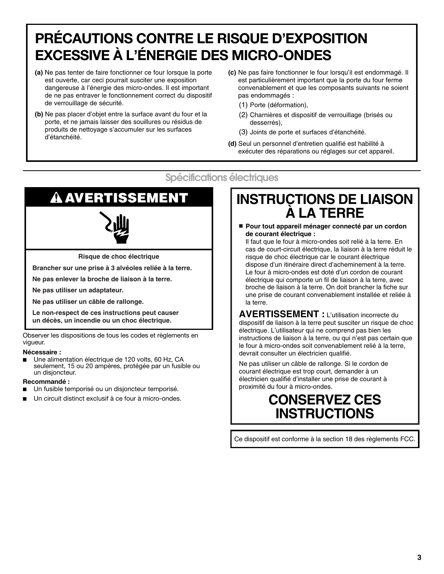## **PRÉCAUTIONS CONTRE LE RISQUE D'EXPOSITION EXCESSIVE À L'ÉNERGIE DES MICRO-ONDES**

- **(a)** Ne pas tenter de faire fonctionner ce four lorsque la porte est ouverte, car ceci pourrait susciter une exposition dangereuse à l'énergie des micro-ondes. Il est important de ne pas entraver le fonctionnement correct du dispositif de verrouillage de sécurité.
- **(b)** Ne pas placer d'objet entre la surface avant du four et la porte, et ne jamais laisser des souillures ou résidus de produits de nettoyage s'accumuler sur les surfaces d'étanchéité.
- **(c)** Ne pas faire fonctionner le four lorsqu'il est endommagé. Il est particulièrement important que la porte du four ferme convenablement et que les composants suivants ne soient pas endommagés :
	- (1) Porte (déformation),
	- (2) Charnières et dispositif de verrouillage (brisés ou desserrés),
	- (3) Joints de porte et surfaces d'étanchéité.
- **(d)** Seul un personnel d'entretien qualifié est habilité à exécuter des réparations ou réglages sur cet appareil.

### **Spécifications électriques**

# **AVERTISSEMENT**



**Risque de choc électrique**

**Brancher sur une prise à 3 alvéoles reliée à la terre.**

**Ne pas enlever la broche de liaison à la terre.**

**Ne pas utiliser un adaptateur.**

**Ne pas utiliser un câble de rallonge.**

**Le non-respect de ces instructions peut causer un décès, un incendie ou un choc électrique.**

Observer les dispositions de tous les codes et règlements en vigueur.

### **Nécessaire :**

Une alimentation électrique de 120 volts, 60 Hz, CA seulement, 15 ou 20 ampères, protégée par un fusible ou un disjoncteur.

### **Recommandé :**

- Un fusible temporisé ou un disjoncteur temporisé.
- Un circuit distinct exclusif à ce four à micro-ondes.

### **INSTRUCTIONS DE LIAISON À LA TERRE**

■ **Pour tout appareil ménager connecté par un cordon de courant électrique :**

Il faut que le four à micro-ondes soit relié à la terre. En cas de court-circuit électrique, la liaison à la terre réduit le risque de choc électrique car le courant électrique dispose d'un itinéraire direct d'acheminement à la terre. Le four à micro-ondes est doté d'un cordon de courant électrique qui comporte un fil de liaison à la terre, avec broche de liaison à la terre. On doit brancher la fiche sur une prise de courant convenablement installée et reliée à la terre.

**AVERTISSEMENT :** L'utilisation incorrecte du dispositif de liaison à la terre peut susciter un risque de choc électrique. L'utilisateur qui ne comprend pas bien les instructions de liaison à la terre, ou qui n'est pas certain que le four à micro-ondes soit convenablement relié à la terre, devrait consulter un électricien qualifié.

Ne pas utiliser un câble de rallonge. Si le cordon de courant électrique est trop court, demander à un électricien qualifié d'installer une prise de courant à proximité du four à micro-ondes.

### **CONSERVEZ CES INSTRUCTIONS**

Ce dispositif est conforme à la section 18 des règlements FCC.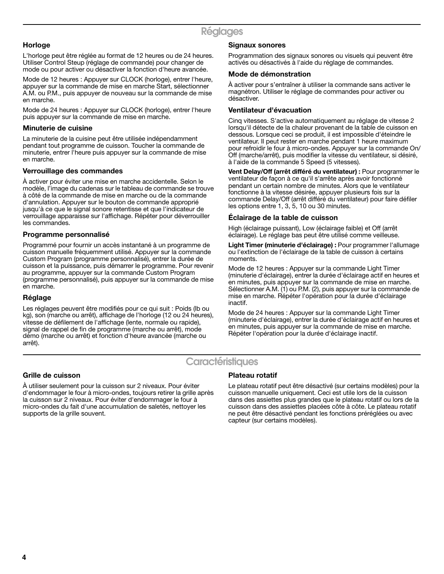### **Horloge**

L'horloge peut être réglée au format de 12 heures ou de 24 heures. Utiliser Control Steup (réglage de commande) pour changer de mode ou pour activer ou désactiver la fonction d'heure avancée.

Mode de 12 heures : Appuyer sur CLOCK (horloge), entrer l'heure, appuyer sur la commande de mise en marche Start, sélectionner A.M. ou P.M., puis appuyer de nouveau sur la commande de mise en marche.

Mode de 24 heures : Appuyer sur CLOCK (horloge), entrer l'heure puis appuyer sur la commande de mise en marche.

### **Minuterie de cuisine**

La minuterie de la cuisine peut être utilisée indépendamment pendant tout programme de cuisson. Toucher la commande de minuterie, entrer l'heure puis appuyer sur la commande de mise en marche.

### **Verrouillage des commandes**

À activer pour éviter une mise en marche accidentelle. Selon le modèle, l'image du cadenas sur le tableau de commande se trouve à côté de la commande de mise en marche ou de la commande d'annulation. Appuyer sur le bouton de commande approprié jusqu'à ce que le signal sonore retentisse et que l'indicateur de verrouillage apparaisse sur l'affichage. Répéter pour déverrouiller les commandes.

### **Programme personnalisé**

Programmé pour fournir un accès instantané à un programme de cuisson manuelle fréquemment utilisé. Appuyer sur la commande Custom Program (programme personnalisé), entrer la durée de cuisson et la puissance, puis démarrer le programme. Pour revenir au programme, appuyer sur la commande Custom Program (programme personnalisé), puis appuyer sur la commande de mise en marche.

### **Réglage**

Les réglages peuvent être modifiés pour ce qui suit : Poids (lb ou kg), son (marche ou arrêt), affichage de l'horloge (12 ou 24 heures), vitesse de défilement de l'affichage (lente, normale ou rapide), signal de rappel de fin de programme (marche ou arrêt), mode démo (marche ou arrêt) et fonction d'heure avancée (marche ou arrêt).

### **Signaux sonores**

Programmation des signaux sonores ou visuels qui peuvent être activés ou désactivés à l'aide du réglage de commandes.

### **Mode de démonstration**

À activer pour s'entraîner à utiliser la commande sans activer le magnétron. Utiliser le réglage de commandes pour activer ou désactiver.

### **Ventilateur d'évacuation**

Cinq vitesses. S'active automatiquement au réglage de vitesse 2 lorsqu'il détecte de la chaleur provenant de la table de cuisson en dessous. Lorsque ceci se produit, il est impossible d'éteindre le ventilateur. Il peut rester en marche pendant 1 heure maximum pour refroidir le four à micro-ondes. Appuyer sur la commande On/ Off (marche/arrêt), puis modifier la vitesse du ventilateur, si désiré, à l'aide de la commande 5 Speed (5 vitesses).

**Vent Delay/Off (arrêt différé du ventilateur) :** Pour programmer le ventilateur de façon à ce qu'il s'arrête après avoir fonctionné pendant un certain nombre de minutes. Alors que le ventilateur fonctionne à la vitesse désirée, appuyer plusieurs fois sur la commande Delay/Off (arrêt différé du ventilateur) pour faire défiler les options entre 1, 3, 5, 10 ou 30 minutes.

### **Éclairage de la table de cuisson**

High (éclairage puissant), Low (éclairage faible) et Off (arrêt éclairage). Le réglage bas peut être utilisé comme veilleuse.

**Light Timer (minuterie d'éclairage) :** Pour programmer l'allumage ou l'extinction de l'éclairage de la table de cuisson à certains moments.

Mode de 12 heures : Appuyer sur la commande Light Timer (minuterie d'éclairage), entrer la durée d'éclairage actif en heures et en minutes, puis appuyer sur la commande de mise en marche. Sélectionner A.M. (1) ou P.M. (2), puis appuyer sur la commande de mise en marche. Répéter l'opération pour la durée d'éclairage inactif.

Mode de 24 heures : Appuyer sur la commande Light Timer (minuterie d'éclairage), entrer la durée d'éclairage actif en heures et en minutes, puis appuyer sur la commande de mise en marche. Répéter l'opération pour la durée d'éclairage inactif.

### **Caractéristiques**

### **Grille de cuisson**

À utiliser seulement pour la cuisson sur 2 niveaux. Pour éviter d'endommager le four à micro-ondes, toujours retirer la grille après la cuisson sur 2 niveaux. Pour éviter d'endommager le four à micro-ondes du fait d'une accumulation de saletés, nettoyer les supports de la grille souvent.

### **Plateau rotatif**

Le plateau rotatif peut être désactivé (sur certains modèles) pour la cuisson manuelle uniquement. Ceci est utile lors de la cuisson dans des assiettes plus grandes que le plateau rotatif ou lors de la cuisson dans des assiettes placées côte à côte. Le plateau rotatif ne peut être désactivé pendant les fonctions préréglées ou avec capteur (sur certains modèles).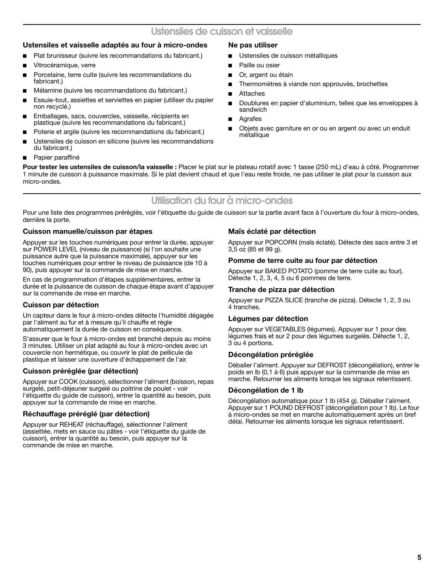### **Ustensiles et vaisselle adaptés au four à micro-ondes**

- Plat brunisseur (suivre les recommandations du fabricant.)
- Vitrocéramique, verre
- Porcelaine, terre cuite (suivre les recommandations du fabricant.)
- Mélamine (suivre les recommandations du fabricant.)
- Essuie-tout, assiettes et serviettes en papier (utiliser du papier non recyclé.)
- Emballages, sacs, couvercles, vaisselle, récipients en plastique (suivre les recommandations du fabricant.)
- Poterie et argile (suivre les recommandations du fabricant.)
- Ustensiles de cuisson en silicone (suivre les recommandations du fabricant.)
- Papier paraffiné

### **Ne pas utiliser**

- Ustensiles de cuisson métalliques
- Paille ou osier
- Or, argent ou étain
- Thermomètres à viande non approuvés, brochettes
- **Attaches**
- Doublures en papier d'aluminium, telles que les enveloppes à sandwich
- Agrafes
- Objets avec garniture en or ou en argent ou avec un enduit métallique

**Pour tester les ustensiles de cuisson/la vaisselle :** Placer le plat sur le plateau rotatif avec 1 tasse (250 mL) d'eau à côté. Programmer 1 minute de cuisson à puissance maximale. Si le plat devient chaud et que l'eau reste froide, ne pas utiliser le plat pour la cuisson aux micro-ondes.

### **Utilisation du four à micro-ondes**

Pour une liste des programmes préréglés, voir l'étiquette du guide de cuisson sur la partie avant face à l'ouverture du four à micro-ondes, derrière la porte.

### **Cuisson manuelle/cuisson par étapes**

Appuyer sur les touches numériques pour entrer la durée, appuyer sur POWER LEVEL (niveau de puissance) (si l'on souhaite une puissance autre que la puissance maximale), appuyer sur les touches numériques pour entrer le niveau de puissance (de 10 à 90), puis appuyer sur la commande de mise en marche.

En cas de programmation d'étapes supplémentaires, entrer la durée et la puissance de cuisson de chaque étape avant d'appuyer sur la commande de mise en marche.

### **Cuisson par détection**

Un capteur dans le four à micro-ondes détecte l'humidité dégagée par l'aliment au fur et à mesure qu'il chauffe et règle automatiquement la durée de cuisson en conséquence.

S'assurer que le four à micro-ondes est branché depuis au moins 3 minutes. Utiliser un plat adapté au four à micro-ondes avec un couvercle non hermétique, ou couvrir le plat de pellicule de plastique et laisser une ouverture d'échappement de l'air.

### **Cuisson préréglée (par détection)**

Appuyer sur COOK (cuisson), sélectionner l'aliment (boisson, repas surgelé, petit-déjeuner surgelé ou poitrine de poulet - voir l'étiquette du guide de cuisson), entrer la quantité au besoin, puis appuyer sur la commande de mise en marche.

### **Réchauffage préréglé (par détection)**

Appuyer sur REHEAT (réchauffage), sélectionner l'aliment (assiettée, mets en sauce ou pâtes - voir l'étiquette du guide de cuisson), entrer la quantité au besoin, puis appuyer sur la commande de mise en marche.

### **Maïs éclaté par détection**

Appuyer sur POPCORN (maïs éclaté). Détecte des sacs entre 3 et 3,5 oz (85 et 99 g).

### **Pomme de terre cuite au four par détection**

Appuyer sur BAKED POTATO (pomme de terre cuite au four). Détecte 1, 2, 3, 4, 5 ou 6 pommes de terre.

### **Tranche de pizza par détection**

Appuyer sur PIZZA SLICE (tranche de pizza). Détecte 1, 2, 3 ou 4 tranches.

### **Légumes par détection**

Appuyer sur VEGETABLES (légumes). Appuyer sur 1 pour des légumes frais et sur 2 pour des légumes surgelés. Détecte 1, 2, 3 ou 4 portions.

### **Décongélation préréglée**

Déballer l'aliment. Appuyer sur DEFROST (décongélation), entrer le poids en lb (0,1 à 6) puis appuyer sur la commande de mise en marche. Retourner les aliments lorsque les signaux retentissent.

### **Décongélation de 1 lb**

Décongélation automatique pour 1 lb (454 g). Déballer l'aliment. Appuyer sur 1 POUND DEFROST (décongélation pour 1 lb). Le four à micro-ondes se met en marche automatiquement après un bref délai. Retourner les aliments lorsque les signaux retentissent.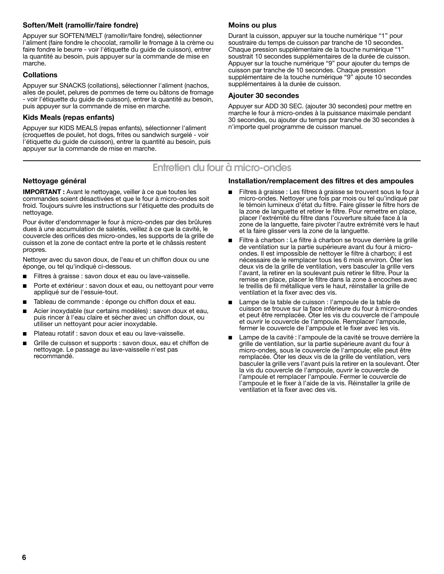### **Soften/Melt (ramollir/faire fondre)**

Appuyer sur SOFTEN/MELT (ramollir/faire fondre), sélectionner l'aliment (faire fondre le chocolat, ramollir le fromage à la crème ou faire fondre le beurre - voir l'étiquette du guide de cuisson), entrer la quantité au besoin, puis appuyer sur la commande de mise en marche.

### **Collations**

Appuyer sur SNACKS (collations), sélectionner l'aliment (nachos, ailes de poulet, pelures de pommes de terre ou bâtons de fromage - voir l'étiquette du guide de cuisson), entrer la quantité au besoin, puis appuyer sur la commande de mise en marche.

### **Kids Meals (repas enfants)**

Appuyer sur KIDS MEALS (repas enfants), sélectionner l'aliment (croquettes de poulet, hot dogs, frites ou sandwich surgelé - voir l'étiquette du guide de cuisson), entrer la quantité au besoin, puis appuyer sur la commande de mise en marche.

### **Moins ou plus**

Durant la cuisson, appuyer sur la touche numérique "1" pour soustraire du temps de cuisson par tranche de 10 secondes. Chaque pression supplémentaire de la touche numérique "1" soustrait 10 secondes supplémentaires de la durée de cuisson. Appuyer sur la touche numérique "9" pour ajouter du temps de cuisson par tranche de 10 secondes. Chaque pression supplémentaire de la touche numérique "9" ajoute 10 secondes supplémentaires à la durée de cuisson.

### **Ajouter 30 secondes**

Appuyer sur ADD 30 SEC. (ajouter 30 secondes) pour mettre en marche le four à micro-ondes à la puissance maximale pendant 30 secondes, ou ajouter du temps par tranche de 30 secondes à n'importe quel programme de cuisson manuel.

### **Entretien du four à micro-ondes**

### **Nettoyage général**

**IMPORTANT :** Avant le nettoyage, veiller à ce que toutes les commandes soient désactivées et que le four à micro-ondes soit froid. Toujours suivre les instructions sur l'étiquette des produits de nettoyage.

Pour éviter d'endommager le four à micro-ondes par des brûlures dues à une accumulation de saletés, veillez à ce que la cavité, le couvercle des orifices des micro-ondes, les supports de la grille de cuisson et la zone de contact entre la porte et le châssis restent propres.

Nettoyer avec du savon doux, de l'eau et un chiffon doux ou une éponge, ou tel qu'indiqué ci-dessous.

- Filtres à graisse : savon doux et eau ou lave-vaisselle.
- Porte et extérieur : savon doux et eau, ou nettoyant pour verre appliqué sur de l'essuie-tout.
- Tableau de commande : éponge ou chiffon doux et eau.
- Acier inoxydable (sur certains modèles) : savon doux et eau, puis rincer à l'eau claire et sécher avec un chiffon doux, ou utiliser un nettoyant pour acier inoxydable.
- Plateau rotatif : savon doux et eau ou lave-vaisselle.
- Grille de cuisson et supports : savon doux, eau et chiffon de nettoyage. Le passage au lave-vaisselle n'est pas recommandé.

### **Installation/remplacement des filtres et des ampoules**

- Filtres à graisse : Les filtres à graisse se trouvent sous le four à micro-ondes. Nettoyer une fois par mois ou tel qu'indiqué par le témoin lumineux d'état du filtre. Faire glisser le filtre hors de la zone de languette et retirer le filtre. Pour remettre en place, placer l'extrémité du filtre dans l'ouverture située face à la zone de la languette, faire pivoter l'autre extrémité vers le haut et la faire glisser vers la zone de la languette.
- Filtre à charbon : Le filtre à charbon se trouve derrière la grille de ventilation sur la partie supérieure avant du four à microondes. Il est impossible de nettoyer le filtre à charbon; il est nécessaire de le remplacer tous les 6 mois environ. Ôter les deux vis de la grille de ventilation, vers basculer la grille vers l'avant, la retirer en la soulevant puis retirer le filtre. Pour la remise en place, placer le filtre dans la zone à encoches avec le treillis de fil métallique vers le haut, réinstaller la grille de ventilation et la fixer avec des vis.
- Lampe de la table de cuisson : l'ampoule de la table de cuisson se trouve sur la face inférieure du four à micro-ondes et peut être remplacée. Ôter les vis du couvercle de l'ampoule et ouvrir le couvercle de l'ampoule. Remplacer l'ampoule, fermer le couvercle de l'ampoule et le fixer avec les vis.
- Lampe de la cavité : l'ampoule de la cavité se trouve derrière la grille de ventilation, sur la partie supérieure avant du four à micro-ondes, sous le couvercle de l'ampoule; elle peut être remplacée. Ôter les deux vis de la grille de ventilation, vers basculer la grille vers l'avant puis la retirer en la soulevant. Ôter la vis du couvercle de l'ampoule, ouvrir le couvercle de l'ampoule et remplacer l'ampoule. Fermer le couvercle de l'ampoule et le fixer à l'aide de la vis. Réinstaller la grille de ventilation et la fixer avec des vis.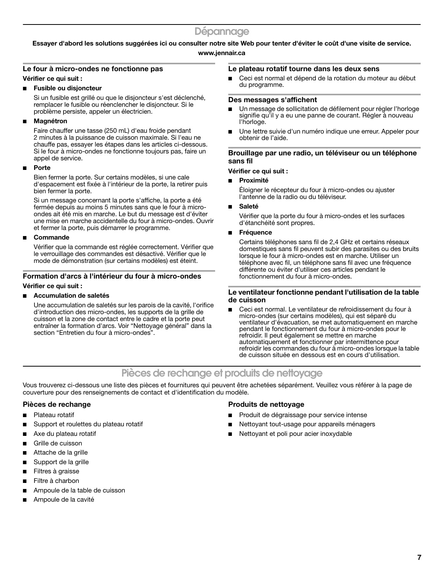### **Essayer d'abord les solutions suggérées ici ou consulter notre site Web pour tenter d'éviter le coût d'une visite de service.**

### **www.jennair.ca**

### **Le four à micro-ondes ne fonctionne pas**

**Vérifier ce qui suit :**

### ■ **Fusible ou disjoncteur**

Si un fusible est grillé ou que le disioncteur s'est déclenché, remplacer le fusible ou réenclencher le disjoncteur. Si le problème persiste, appeler un électricien.

### ■ **Magnétron**

Faire chauffer une tasse (250 mL) d'eau froide pendant 2 minutes à la puissance de cuisson maximale. Si l'eau ne chauffe pas, essayer les étapes dans les articles ci-dessous. Si le four à micro-ondes ne fonctionne toujours pas, faire un appel de service.

### ■ **Porte**

Bien fermer la porte. Sur certains modèles, si une cale d'espacement est fixée à l'intérieur de la porte, la retirer puis bien fermer la porte.

Si un message concernant la porte s'affiche, la porte a été fermée depuis au moins 5 minutes sans que le four à microondes ait été mis en marche. Le but du message est d'éviter une mise en marche accidentelle du four à micro-ondes. Ouvrir et fermer la porte, puis démarrer le programme.

### ■ **Commande**

Vérifier que la commande est réglée correctement. Vérifier que le verrouillage des commandes est désactivé. Vérifier que le mode de démonstration (sur certains modèles) est éteint.

### **Formation d'arcs à l'intérieur du four à micro-ondes**

### **Vérifier ce qui suit :**

### ■ **Accumulation de saletés**

Une accumulation de saletés sur les parois de la cavité, l'orifice d'introduction des micro-ondes, les supports de la grille de cuisson et la zone de contact entre le cadre et la porte peut entraîner la formation d'arcs. Voir "Nettoyage général" dans la section "Entretien du four à micro-ondes".

### **Le plateau rotatif tourne dans les deux sens**

■ Ceci est normal et dépend de la rotation du moteur au début du programme.

### **Des messages s'affichent**

- Un message de sollicitation de défilement pour régler l'horloge signifie qu'il y a eu une panne de courant. Régler à nouveau l'horloge.
- Une lettre suivie d'un numéro indique une erreur. Appeler pour obtenir de l'aide.

### **Brouillage par une radio, un téléviseur ou un téléphone sans fil**

### **Vérifier ce qui suit :**

■ **Proximité**

Éloigner le récepteur du four à micro-ondes ou ajuster l'antenne de la radio ou du téléviseur.

■ **Saleté**

Vérifier que la porte du four à micro-ondes et les surfaces d'étanchéité sont propres.

### ■ **Fréquence**

Certains téléphones sans fil de 2,4 GHz et certains réseaux domestiques sans fil peuvent subir des parasites ou des bruits lorsque le four à micro-ondes est en marche. Utiliser un téléphone avec fil, un téléphone sans fil avec une fréquence différente ou éviter d'utiliser ces articles pendant le fonctionnement du four à micro-ondes.

### **Le ventilateur fonctionne pendant l'utilisation de la table de cuisson**

Ceci est normal. Le ventilateur de refroidissement du four à micro-ondes (sur certains modèles), qui est séparé du ventilateur d'évacuation, se met automatiquement en marche pendant le fonctionnement du four à micro-ondes pour le refroidir. Il peut également se mettre en marche automatiquement et fonctionner par intermittence pour refroidir les commandes du four à micro-ondes lorsque la table de cuisson située en dessous est en cours d'utilisation.

### **Pièces de rechange et produits de nettoyage**

Vous trouverez ci-dessous une liste des pièces et fournitures qui peuvent être achetées séparément. Veuillez vous référer à la page de couverture pour des renseignements de contact et d'identification du modèle.

### **Pièces de rechange**

- Plateau rotatif
- Support et roulettes du plateau rotatif
- Axe du plateau rotatif
- Grille de cuisson
- Attache de la grille
- Support de la grille
- Filtres à graisse
- Filtre à charbon
- Ampoule de la table de cuisson
- Ampoule de la cavité

### **Produits de nettoyage**

- Produit de dégraissage pour service intense
- Nettoyant tout-usage pour appareils ménagers
- Nettoyant et poli pour acier inoxydable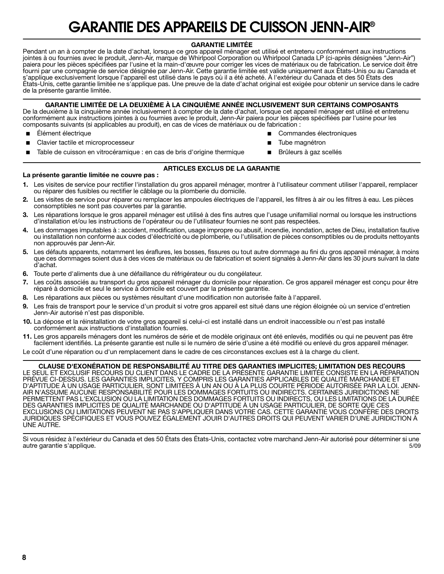## **GARANTIE DES APPAREILS DE CUISSON JENN-AIR®**

### **GARANTIE LIMITÉE**

Pendant un an à compter de la date d'achat, lorsque ce gros appareil ménager est utilisé et entretenu conformément aux instructions jointes à ou fournies avec le produit, Jenn-Air, marque de Whirlpool Corporation ou Whirlpool Canada LP (ci-après désignées "Jenn-Air") paiera pour les pièces spécifiées par l'usine et la main-d'œuvre pour corriger les vices de matériaux ou de fabrication. Le service doit être fourni par une compagnie de service désignée par Jenn-Air. Cette garantie limitée est valide uniquement aux États-Unis ou au Canada et s'applique exclusivement lorsque l'appareil est utilisé dans le pays où il a été acheté. À l'extérieur du Canada et des 50 États des États-Unis, cette garantie limitée ne s'applique pas. Une preuve de la date d'achat original est exigée pour obtenir un service dans le cadre de la présente garantie limitée.

### **GARANTIE LIMITÉE DE LA DEUXIÈME À LA CINQUIÈME ANNÉE INCLUSIVEMENT SUR CERTAINS COMPOSANTS**

De la deuxième à la cinquième année inclusivement à compter de la date d'achat, lorsque cet appareil ménager est utilisé et entretenu conformément aux instructions jointes à ou fournies avec le produit, Jenn-Air paiera pour les pièces spécifiées par l'usine pour les composants suivants (si applicables au produit), en cas de vices de matériaux ou de fabrication :

- Élément électrique
- Clavier tactile et microprocesseur

Commandes électroniques

Brûleurs à gaz scellés

- Tube magnétron
- Table de cuisson en vitrocéramique : en cas de bris d'origine thermique

### **ARTICLES EXCLUS DE LA GARANTIE**

### **La présente garantie limitée ne couvre pas :**

- **1.** Les visites de service pour rectifier l'installation du gros appareil ménager, montrer à l'utilisateur comment utiliser l'appareil, remplacer ou réparer des fusibles ou rectifier le câblage ou la plomberie du domicile.
- **2.** Les visites de service pour réparer ou remplacer les ampoules électriques de l'appareil, les filtres à air ou les filtres à eau. Les pièces consomptibles ne sont pas couvertes par la garantie.
- **3.** Les réparations lorsque le gros appareil ménager est utilisé à des fins autres que l'usage unifamilial normal ou lorsque les instructions d'installation et/ou les instructions de l'opérateur ou de l'utilisateur fournies ne sont pas respectées.
- **4.** Les dommages imputables à : accident, modification, usage impropre ou abusif, incendie, inondation, actes de Dieu, installation fautive ou installation non conforme aux codes d'électricité ou de plomberie, ou l'utilisation de pièces consomptibles ou de produits nettoyants non approuvés par Jenn-Air.
- **5.** Les défauts apparents, notamment les éraflures, les bosses, fissures ou tout autre dommage au fini du gros appareil ménager, à moins que ces dommages soient dus à des vices de matériaux ou de fabrication et soient signalés à Jenn-Air dans les 30 jours suivant la date d'achat.
- **6.** Toute perte d'aliments due à une défaillance du réfrigérateur ou du congélateur.
- **7.** Les coûts associés au transport du gros appareil ménager du domicile pour réparation. Ce gros appareil ménager est conçu pour être réparé à domicile et seul le service à domicile est couvert par la présente garantie.
- **8.** Les réparations aux pièces ou systèmes résultant d'une modification non autorisée faite à l'appareil.
- **9.** Les frais de transport pour le service d'un produit si votre gros appareil est situé dans une région éloignée où un service d'entretien Jenn-Air autorisé n'est pas disponible.
- **10.** La dépose et la réinstallation de votre gros appareil si celui-ci est installé dans un endroit inaccessible ou n'est pas installé conformément aux instructions d'installation fournies.
- **11.** Les gros appareils ménagers dont les numéros de série et de modèle originaux ont été enlevés, modifiés ou qui ne peuvent pas être facilement identifiés. La présente garantie est nulle si le numéro de série d'usine a été modifié ou enlevé du gros appareil ménager.

Le coût d'une réparation ou d'un remplacement dans le cadre de ces circonstances exclues est à la charge du client.

**CLAUSE D'EXONÉRATION DE RESPONSABILITÉ AU TITRE DES GARANTIES IMPLICITES; LIMITATION DES RECOURS** LE SEUL ET EXCLUSIF RECOURS DU CLIENT DANS LE CADRE DE LA PRÉSENTE GARANTIE LIMITÉE CONSISTE EN LA RÉPARATION PRÉVUE CI-DESSUS. LES GARANTIES IMPLICITES, Y COMPRIS LES GARANTIES APPLICABLES DE QUALITÉ MARCHANDE ET D'APTITUDE À UN USAGE PARTICULIER, SONT LIMITÉES À UN AN OU À LA PLUS COURTE PÉRIODE AUTORISÉE PAR LA LOI. JENN-AIR N'ASSUME AUCUNE RESPONSABILITÉ POUR LES DOMMAGES FORTUITS OU INDIRECTS. CERTAINES JURIDICTIONS NE PERMETTENT PAS L'EXCLUSION OU LA LIMITATION DES DOMMAGES FORTUITS OU INDIRECTS, OU LES LIMITATIONS DE LA DURÉE DES GARANTIES IMPLICITES DE QUALITÉ MARCHANDE OU D'APTITUDE À UN USAGE PARTICULIER, DE SORTE QUE CES EXCLUSIONS OU LIMITATIONS PEUVENT NE PAS S'APPLIQUER DANS VOTRE CAS. CETTE GARANTIE VOUS CONFÈRE DES DROITS JURIDIQUES SPÉCIFIQUES ET VOUS POUVEZ ÉGALEMENT JOUIR D'AUTRES DROITS QUI PEUVENT VARIER D'UNE JURIDICTION À UNE AUTRE.

Si vous résidez à l'extérieur du Canada et des 50 États des États-Unis, contactez votre marchand Jenn-Air autorisé pour déterminer si une<br>5/09 autre garantie s'applique.